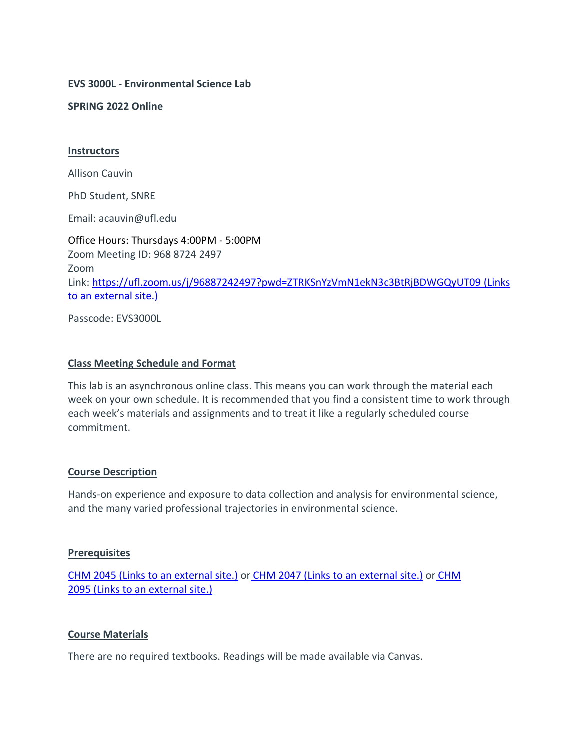**EVS 3000L** *-* **Environmental Science Lab**

**SPRING 2022 Online**

#### **Instructors**

Allison Cauvin

PhD Student, SNRE

Email: acauvin@ufl.edu

Office Hours: Thursdays 4:00PM - 5:00PM Zoom Meeting ID: 968 8724 2497 Zoom Link: <https://ufl.zoom.us/j/96887242497?pwd=ZTRKSnYzVmN1ekN3c3BtRjBDWGQyUT09> (Links to an [external](https://ufl.zoom.us/j/96887242497?pwd=ZTRKSnYzVmN1ekN3c3BtRjBDWGQyUT09) site.)

Passcode: EVS3000L

#### **Class Meeting Schedule and Format**

This lab is an asynchronous online class. This means you can work through the material each week on your own schedule. It is recommended that you find a consistent time to work through each week's materials and assignments and to treat it like a regularly scheduled course commitment.

#### **Course Description**

Hands-on experience and exposure to data collection and analysis for environmental science, and the many varied professional trajectories in environmental science.

#### **Prerequisites**

[CHM 2045](https://catalog.ufl.edu/search/?P=CHM%202045) (Links to an external site.) or [CHM 2047](https://catalog.ufl.edu/search/?P=CHM%202047) (Links to an external site.) or [CHM](https://catalog.ufl.edu/search/?P=CHM%202095)  2095 (Links to an [external](https://catalog.ufl.edu/search/?P=CHM%202095) site.)

### **Course Materials**

There are no required textbooks. Readings will be made available via Canvas.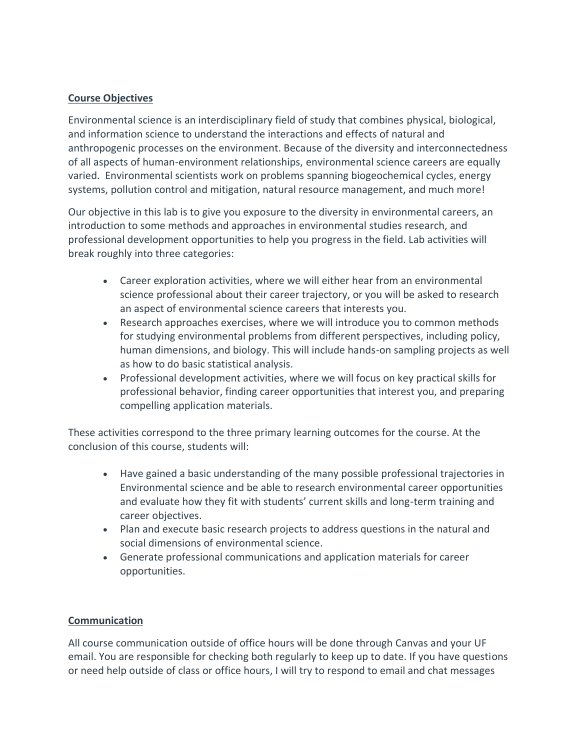## **Course Objectives**

Environmental science is an interdisciplinary field of study that combines physical, biological, and information science to understand the interactions and effects of natural and anthropogenic processes on the environment. Because of the diversity and interconnectedness of all aspects of human-environment relationships, environmental science careers are equally varied. Environmental scientists work on problems spanning biogeochemical cycles, energy systems, pollution control and mitigation, natural resource management, and much more!

Our objective in this lab is to give you exposure to the diversity in environmental careers, an introduction to some methods and approaches in environmental studies research, and professional development opportunities to help you progress in the field. Lab activities will break roughly into three categories:

- Career exploration activities, where we will either hear from an environmental science professional about their career trajectory, or you will be asked to research an aspect of environmental science careers that interests you.
- Research approaches exercises, where we will introduce you to common methods for studying environmental problems from different perspectives, including policy, human dimensions, and biology. This will include hands-on sampling projects as well as how to do basic statistical analysis.
- Professional development activities, where we will focus on key practical skills for professional behavior, finding career opportunities that interest you, and preparing compelling application materials.

These activities correspond to the three primary learning outcomes for the course. At the conclusion of this course, students will:

- Have gained a basic understanding of the many possible professional trajectories in Environmental science and be able to research environmental career opportunities and evaluate how they fit with students' current skills and long-term training and career objectives.
- Plan and execute basic research projects to address questions in the natural and social dimensions of environmental science.
- Generate professional communications and application materials for career opportunities.

### **Communication**

All course communication outside of office hours will be done through Canvas and your UF email. You are responsible for checking both regularly to keep up to date. If you have questions or need help outside of class or office hours, I will try to respond to email and chat messages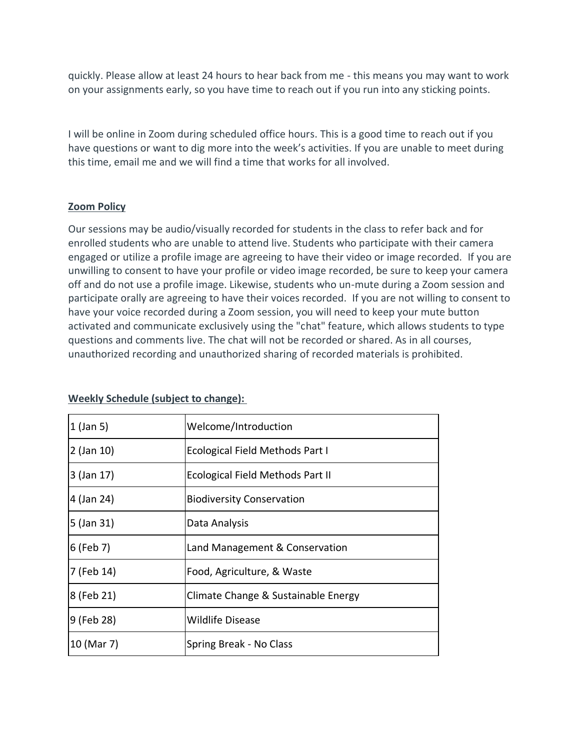quickly. Please allow at least 24 hours to hear back from me - this means you may want to work on your assignments early, so you have time to reach out if you run into any sticking points.

I will be online in Zoom during scheduled office hours. This is a good time to reach out if you have questions or want to dig more into the week's activities. If you are unable to meet during this time, email me and we will find a time that works for all involved.

## **Zoom Policy**

Our sessions may be audio/visually recorded for students in the class to refer back and for enrolled students who are unable to attend live. Students who participate with their camera engaged or utilize a profile image are agreeing to have their video or image recorded. If you are unwilling to consent to have your profile or video image recorded, be sure to keep your camera off and do not use a profile image. Likewise, students who un-mute during a Zoom session and participate orally are agreeing to have their voices recorded. If you are not willing to consent to have your voice recorded during a Zoom session, you will need to keep your mute button activated and communicate exclusively using the "chat" feature, which allows students to type questions and comments live. The chat will not be recorded or shared. As in all courses, unauthorized recording and unauthorized sharing of recorded materials is prohibited.

| $1$ (Jan 5)  | Welcome/Introduction                |
|--------------|-------------------------------------|
| $2$ (Jan 10) | Ecological Field Methods Part I     |
| 3 (Jan 17)   | Ecological Field Methods Part II    |
| 4 (Jan 24)   | <b>Biodiversity Conservation</b>    |
| $5$ (Jan 31) | Data Analysis                       |
| $6$ (Feb 7)  | Land Management & Conservation      |
| 7 (Feb 14)   | Food, Agriculture, & Waste          |
| 8 (Feb 21)   | Climate Change & Sustainable Energy |
| 9 (Feb 28)   | <b>Wildlife Disease</b>             |
| 10 (Mar 7)   | Spring Break - No Class             |

### **Weekly Schedule (subject to change):**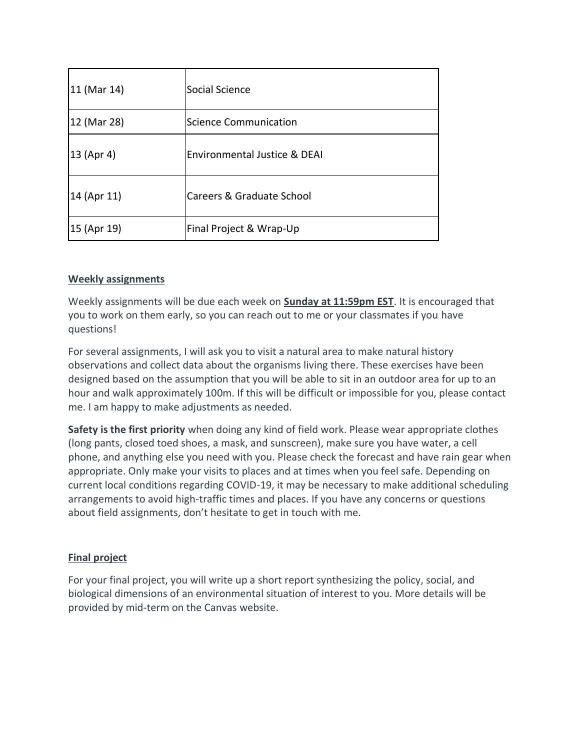| 11 (Mar 14) | lSocial Science                         |
|-------------|-----------------------------------------|
| 12 (Mar 28) | Science Communication                   |
| 13 (Apr 4)  | <b>Environmental Justice &amp; DEAI</b> |
| 14 (Apr 11) | Careers & Graduate School               |
| 15 (Apr 19) | Final Project & Wrap-Up                 |

# **Weekly assignments**

Weekly assignments will be due each week on **Sunday at 11:59pm EST**. It is encouraged that you to work on them early, so you can reach out to me or your classmates if you have questions!

For several assignments, I will ask you to visit a natural area to make natural history observations and collect data about the organisms living there. These exercises have been designed based on the assumption that you will be able to sit in an outdoor area for up to an hour and walk approximately 100m. If this will be difficult or impossible for you, please contact me. I am happy to make adjustments as needed.

**Safety is the first priority** when doing any kind of field work. Please wear appropriate clothes (long pants, closed toed shoes, a mask, and sunscreen), make sure you have water, a cell phone, and anything else you need with you. Please check the forecast and have rain gear when appropriate. Only make your visits to places and at times when you feel safe. Depending on current local conditions regarding COVID-19, it may be necessary to make additional scheduling arrangements to avoid high-traffic times and places. If you have any concerns or questions about field assignments, don't hesitate to get in touch with me.

# **Final project**

For your final project, you will write up a short report synthesizing the policy, social, and biological dimensions of an environmental situation of interest to you. More details will be provided by mid-term on the Canvas website.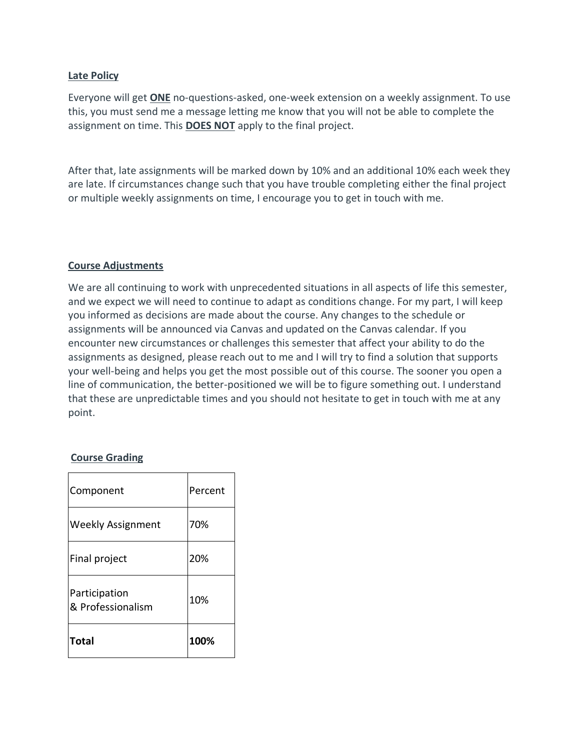### **Late Policy**

Everyone will get **ONE** no-questions-asked, one-week extension on a weekly assignment. To use this, you must send me a message letting me know that you will not be able to complete the assignment on time. This **DOES NOT** apply to the final project.

After that, late assignments will be marked down by 10% and an additional 10% each week they are late. If circumstances change such that you have trouble completing either the final project or multiple weekly assignments on time, I encourage you to get in touch with me.

### **Course Adjustments**

We are all continuing to work with unprecedented situations in all aspects of life this semester, and we expect we will need to continue to adapt as conditions change. For my part, I will keep you informed as decisions are made about the course. Any changes to the schedule or assignments will be announced via Canvas and updated on the Canvas calendar. If you encounter new circumstances or challenges this semester that affect your ability to do the assignments as designed, please reach out to me and I will try to find a solution that supports your well-being and helps you get the most possible out of this course. The sooner you open a line of communication, the better-positioned we will be to figure something out. I understand that these are unpredictable times and you should not hesitate to get in touch with me at any point.

### **Course Grading**

| Component                          | Percent |
|------------------------------------|---------|
| <b>Weekly Assignment</b>           | 70%     |
| Final project                      | 20%     |
| Participation<br>& Professionalism | 10%     |
| Total                              | 100%    |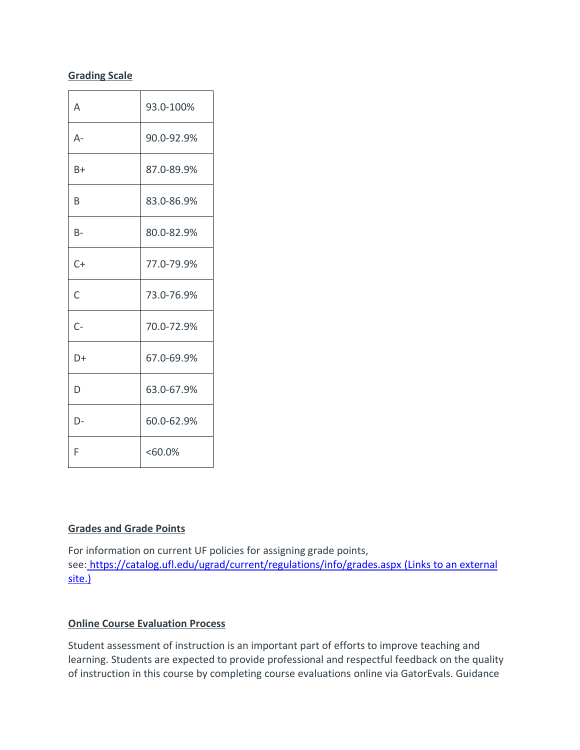# **Grading Scale**

| Α     | 93.0-100%  |
|-------|------------|
| А-    | 90.0-92.9% |
| B+    | 87.0-89.9% |
| B     | 83.0-86.9% |
| B-    | 80.0-82.9% |
| $C+$  | 77.0-79.9% |
| C     | 73.0-76.9% |
| $C -$ | 70.0-72.9% |
| D+    | 67.0-69.9% |
| D     | 63.0-67.9% |
| D-    | 60.0-62.9% |
| F     | $< 60.0\%$ |

# **Grades and Grade Points**

For information on current UF policies for assigning grade points, see: <https://catalog.ufl.edu/ugrad/current/regulations/info/grades.aspx> (Links to an external [site.\)](https://catalog.ufl.edu/ugrad/current/regulations/info/grades.aspx)

# **Online Course Evaluation Process**

Student assessment of instruction is an important part of efforts to improve teaching and learning. Students are expected to provide professional and respectful feedback on the quality of instruction in this course by completing course evaluations online via GatorEvals. Guidance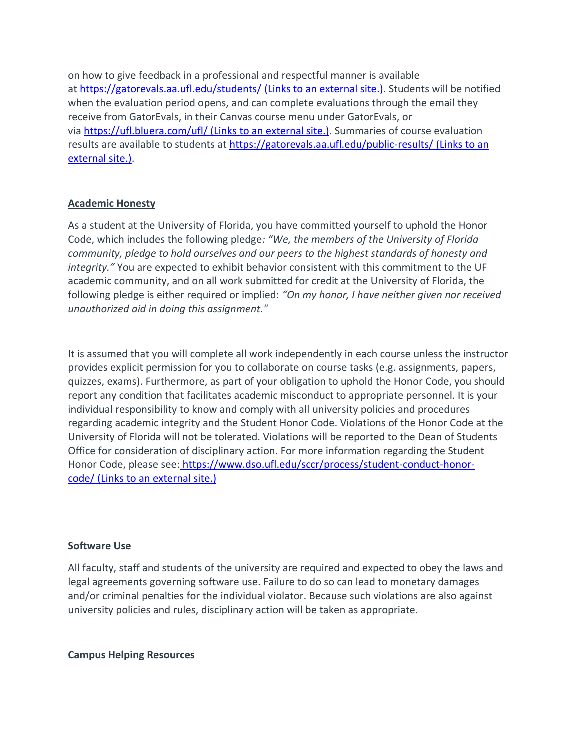on how to give feedback in a professional and respectful manner is available at <https://gatorevals.aa.ufl.edu/students/> (Links to an external site.). Students will be notified when the evaluation period opens, and can complete evaluations through the email they receive from GatorEvals, in their Canvas course menu under GatorEvals, or via [https://ufl.bluera.com/ufl/](https://urldefense.proofpoint.com/v2/url?u=https-3A__ufl.bluera.com_ufl_&d=DwMFAg&c=sJ6xIWYx-zLMB3EPkvcnVg&r=y2HjEMjRMHJhfdvLrqJZlYczRsfp5e4TfQjHuc5rVHg&m=WXko6OK_Ha6T00ZVAsEaSh99qRXHOgMNFRywCoehRho&s=itVU46DDJjnIg4CW6efJOOLgPjdzsPvCghyfzJoFONs&e=) (Links to an external site.). Summaries of course evaluation results are available to students at <https://gatorevals.aa.ufl.edu/public-results/> (Links to an [external](https://gatorevals.aa.ufl.edu/public-results/) site.).

## **Academic Honesty**

As a student at the University of Florida, you have committed yourself to uphold the Honor Code, which includes the following pledge*: "We, the members of the University of Florida community, pledge to hold ourselves and our peers to the highest standards of honesty and integrity."* You are expected to exhibit behavior consistent with this commitment to the UF academic community, and on all work submitted for credit at the University of Florida, the following pledge is either required or implied: *"On my honor, I have neither given nor received unauthorized aid in doing this assignment."*

It is assumed that you will complete all work independently in each course unless the instructor provides explicit permission for you to collaborate on course tasks (e.g. assignments, papers, quizzes, exams). Furthermore, as part of your obligation to uphold the Honor Code, you should report any condition that facilitates academic misconduct to appropriate personnel. It is your individual responsibility to know and comply with all university policies and procedures regarding academic integrity and the Student Honor Code. Violations of the Honor Code at the University of Florida will not be tolerated. Violations will be reported to the Dean of Students Office for consideration of disciplinary action. For more information regarding the Student Honor Code, please see: [https://www.dso.ufl.edu/sccr/process/student-conduct-honor](https://www.dso.ufl.edu/sccr/process/student-conduct-honor-code/)code/ (Links to an [external](https://www.dso.ufl.edu/sccr/process/student-conduct-honor-code/) site.)

### **Software Use**

All faculty, staff and students of the university are required and expected to obey the laws and legal agreements governing software use. Failure to do so can lead to monetary damages and/or criminal penalties for the individual violator. Because such violations are also against university policies and rules, disciplinary action will be taken as appropriate.

### **Campus Helping Resources**